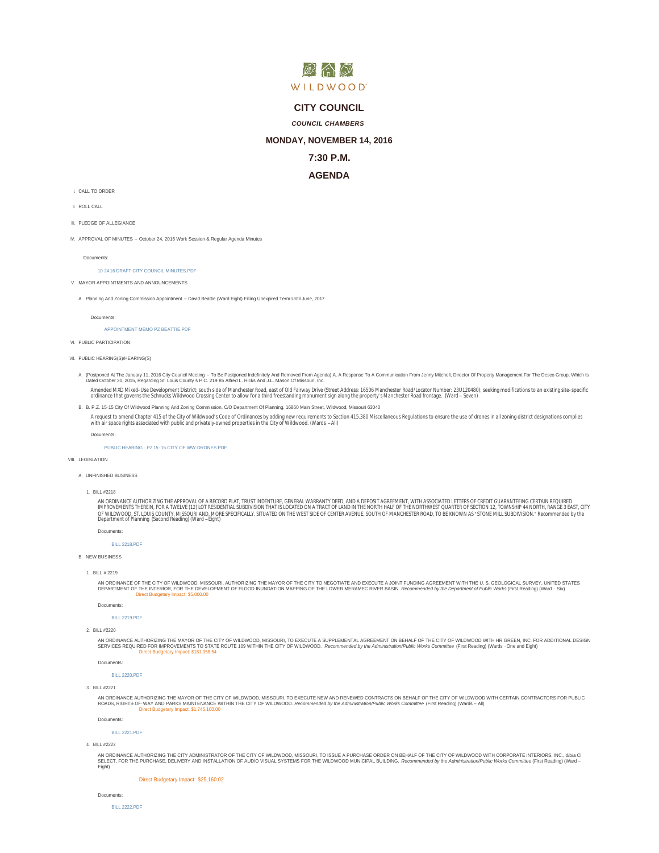

## **CITY COUNCIL**

## *COUNCIL CHAMBERS*

## **MONDAY, NOVEMBER 14, 2016**

## **7:30 P.M.**

# **AGENDA**

- I. CALL TO ORDER
- ROLL CALL II.
- III. PLEDGE OF ALLEGIANCE
- IV. APPROVAL OF MINUTES October 24, 2016 Work Session & Regular Agenda Minutes

Documents:

### 10- [24-16 DRAFT CITY COUNCIL MINUTES.PDF](http://www.cityofwildwood.com/AgendaCenter/ViewFile/Item/8813?fileID=13163)

- V. MAYOR APPOINTMENTS AND ANNOUNCEMENTS
	- A. Planning And Zoning Commission Appointment David Beattie (Ward Eight) Filling Unexpired Term Until June, 2017

B. P.Z. 15- 15 City Of Wildwood Planning And Zoning Commission, C/O Department Of Planning, 16860 Main Street, Wildwood, Missouri 63040 B.

Documents:

[APPOINTMENT MEMO PZ BEATTIE.PDF](http://www.cityofwildwood.com/AgendaCenter/ViewFile/Item/8815?fileID=13162)

VI. PUBLIC PARTICIPATION

```
VII. PUBLIC HEARING(S)/HEARING(S)
```
A. (Postponed At The January 11, 2016 City Council Meeting – To Be Postponed Indefinitely And Removed From Agenda) A. A Response To A Communication From Jenny Mitchell, Director Of Property Management For The Desco Group,

Amended MXD Mixed-Use Development District; south side of Manchester Road, east of Old Fairway Drive (Street Address: 16506 Manchester Road/Locator Number: 23U120480); seeking modifications to an existing site-specific<br>ord

A request to amend Chapter 415 of the City of Wildwood's Code of Ordinances by adding new requirements to Section 415.380 Miscellaneous Regulations to ensure the use of drones in all zoning district designations complies<br>w

Documents:

### [PUBLIC HEARING -](http://www.cityofwildwood.com/AgendaCenter/ViewFile/Item/8819?fileID=13152) PZ 15 - 15 CITY OF WW -DRONES.PDF

VIII. LEGISLATION

#### UNFINISHED BUSINESS A.

BILL #2218 1.

AN ORDINANCE AUTHORIZING THE APPROVAL OF A RECORD PLAT, TRUST INDENTURE, GENERAL WARRANTY DEED, AND A DEPOSIT AGREEMENT, WITH ASSOCIATED LETTERS OF CREDIT GUARANTEEING CERTAIN REQUIRED<br>IMPROVEMENTS THEREIN, FOR A TWELVE (1

[BILL 2218.PDF](http://www.cityofwildwood.com/AgendaCenter/ViewFile/Item/8822?fileID=13153)

#### **B. NEW BUSINESS**

Documents:

BILL # 2219 1.

AN ORDINANCE OF THE CITY OF WILDWOOD, MISSOURI, AUTHORIZING THE MAYOR OF THE CITY TO NEGOTIATE AND EXECUTE A JOINT FUNDING AGREEMENT WITH THE U. S. GEOLOGICAL SURVEY, UNITED STATES<br>DEPARTMENT OF THE INTERIOR, FOR THE DEVEL

Documents:

[BILL 2219.PDF](http://www.cityofwildwood.com/AgendaCenter/ViewFile/Item/8824?fileID=13154)

BILL #2220 2.

AN ORDINANCE AUTHORIZING THE MAYOR OF THE CITY OF VILLDWOOD, MISSOURI, TO EXECUTE A SUPPLEMENT ON BEHALF OF THE CITY OF VILLDWOOD WITH HR GREEN, INC. FOR ADDITIONAL DESIGN<br>SERVICES REQUIRED FOR IMPROVEMENTS TO STATE ROUTE Direct Budgetary Impact: \$181,358.54

Documents:

[BILL 2220.PDF](http://www.cityofwildwood.com/AgendaCenter/ViewFile/Item/8825?fileID=13155)

BILL #2221 3.

AN ORDINANCE AUTHORIZING THE MAYOR OF THE CITY OF WILDWOOD, MISSOURI, TO EXECUTE NEW AND RENEWED CONTRACTS ON BEHALF OF THE CITY OF WILDWOOD WITH CERTAIN CONTRACTORS FOR PUBLIC<br>ROADS, RIGHTS-0F-WAY AND PARKS MAINTENANCE WI Direct Budgetary Impact: \$1,745,100.00

Documents:

[BILL 2221.PDF](http://www.cityofwildwood.com/AgendaCenter/ViewFile/Item/8826?fileID=13190)

BILL #2222 4.

AN ORDINANCE AUTHORIZING THE CITY ADMINISTRATOR OF THE CITY OF WILDWOOD, MISSOURI, TO ISSUE A PURCHASE ORDER ON BEHALF OF THE CITY OF WILDWOOD WITH CORPORATE INTERIORS, INC., db/a CI<br>SEI ECT. FOR THE PURCHASE. DEI IVERY AN SELECT, FOR THE PURCHASE, DELIVERY AND INSTALLATION OF AUDIO VISUAL SYSTEMS FOR THE WILDWOOD MUNICIPAL BUILDING, *Recon* Eight)

Direct Budgetary Impact: \$25,160.02

```
Documents:
```
[BILL 2222.PDF](http://www.cityofwildwood.com/AgendaCenter/ViewFile/Item/8827?fileID=13157)